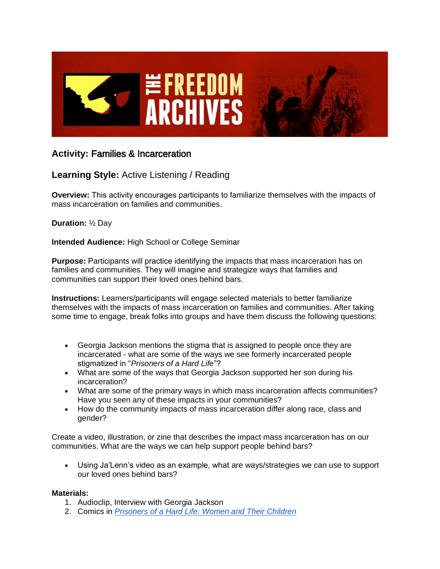

## **Activity:** Families & Incarceration

## **Learning Style:** Active Listening / Reading

**Overview:** This activity encourages participants to familiarize themselves with the impacts of mass incarceration on families and communities.

**Duration:** ½ Day

**Intended Audience:** High School or College Seminar

**Purpose:** Participants will practice identifying the impacts that mass incarceration has on families and communities. They will imagine and strategize ways that families and communities can support their loved ones behind bars.

**Instructions:** Learners/participants will engage selected materials to better familiarize themselves with the impacts of mass incarceration on families and communities. After taking some time to engage, break folks into groups and have them discuss the following questions:

- Georgia Jackson mentions the stigma that is assigned to people once they are incarcerated - what are some of the ways we see formerly incarcerated people stigmatized in "*Prisoners of a Hard Life*"?
- What are some of the ways that Georgia Jackson supported her son during his incarceration?
- What are some of the primary ways in which mass incarceration affects communities? Have you seen any of these impacts in your communities?
- How do the community impacts of mass incarceration differ along race, class and gender?

Create a video, illustration, or zine that describes the impact mass incarceration has on our communities. What are the ways we can help support people behind bars?

• Using Ja'Lenn's video as an example, what are ways/strategies we can use to support our loved ones behind bars?

## **Materials:**

- 1. Audioclip, Interview with Georgia Jackson
- 2. Comics in *[Prisoners of a Hard Life: Women and Their Children](http://realcostofprisons.org/materials/comics/hardlife.pdf)*